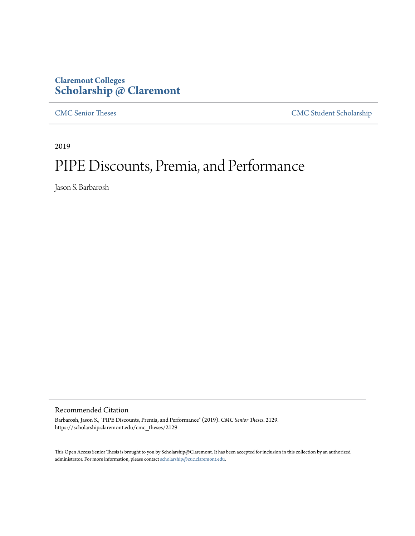# **Claremont Colleges [Scholarship @ Claremont](https://scholarship.claremont.edu)**

[CMC Senior Theses](https://scholarship.claremont.edu/cmc_theses) [CMC Student Scholarship](https://scholarship.claremont.edu/cmc_student)

2019

# PIPE Discounts, Premia, and Performance

Jason S. Barbarosh

Recommended Citation

Barbarosh, Jason S., "PIPE Discounts, Premia, and Performance" (2019). *CMC Senior Theses*. 2129. https://scholarship.claremont.edu/cmc\_theses/2129

This Open Access Senior Thesis is brought to you by Scholarship@Claremont. It has been accepted for inclusion in this collection by an authorized administrator. For more information, please contact [scholarship@cuc.claremont.edu.](mailto:scholarship@cuc.claremont.edu)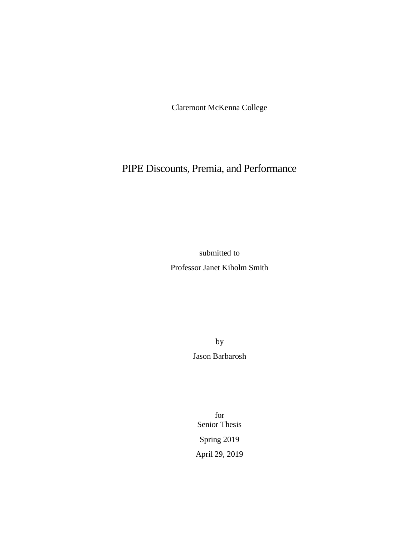Claremont McKenna College

# PIPE Discounts, Premia, and Performance

submitted to Professor Janet Kiholm Smith

> by Jason Barbarosh

for Senior Thesis Spring 2019 April 29, 2019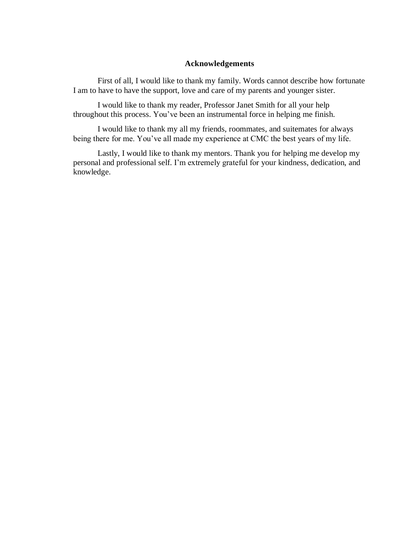# **Acknowledgements**

First of all, I would like to thank my family. Words cannot describe how fortunate I am to have to have the support, love and care of my parents and younger sister.

I would like to thank my reader, Professor Janet Smith for all your help throughout this process. You've been an instrumental force in helping me finish.

I would like to thank my all my friends, roommates, and suitemates for always being there for me. You've all made my experience at CMC the best years of my life.

Lastly, I would like to thank my mentors. Thank you for helping me develop my personal and professional self. I'm extremely grateful for your kindness, dedication, and knowledge.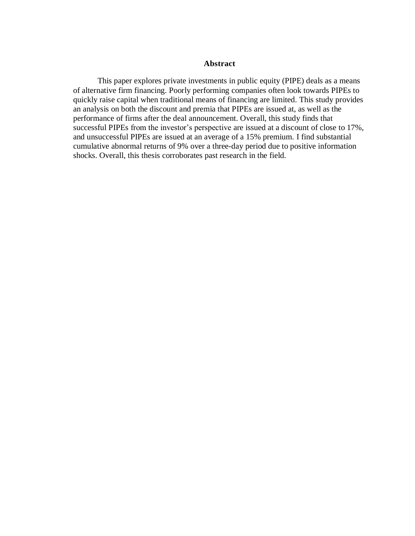# **Abstract**

This paper explores private investments in public equity (PIPE) deals as a means of alternative firm financing. Poorly performing companies often look towards PIPEs to quickly raise capital when traditional means of financing are limited. This study provides an analysis on both the discount and premia that PIPEs are issued at, as well as the performance of firms after the deal announcement. Overall, this study finds that successful PIPEs from the investor's perspective are issued at a discount of close to 17%, and unsuccessful PIPEs are issued at an average of a 15% premium. I find substantial cumulative abnormal returns of 9% over a three-day period due to positive information shocks. Overall, this thesis corroborates past research in the field.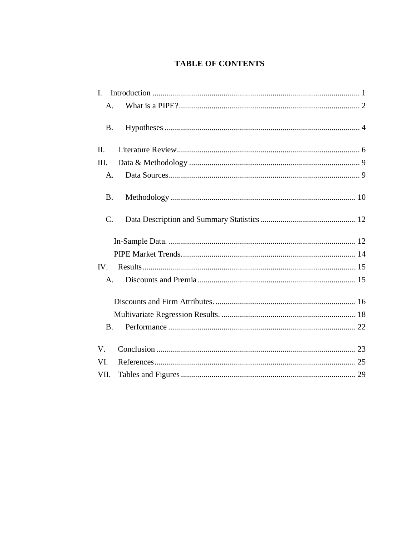# **TABLE OF CONTENTS**

| L.              |  |
|-----------------|--|
| A.              |  |
| <b>B.</b>       |  |
|                 |  |
| $\Pi$ .         |  |
| III.            |  |
| A.              |  |
|                 |  |
| B.              |  |
| $\mathcal{C}$ . |  |
|                 |  |
|                 |  |
| IV.             |  |
| $\mathsf{A}$ .  |  |
|                 |  |
|                 |  |
|                 |  |
| <b>B.</b>       |  |
|                 |  |
| V.              |  |
| VI.             |  |
| VII.            |  |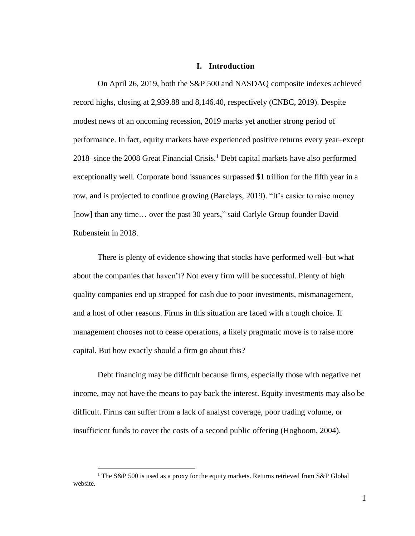#### **I. Introduction**

<span id="page-6-0"></span>On April 26, 2019, both the S&P 500 and NASDAQ composite indexes achieved record highs, closing at 2,939.88 and 8,146.40, respectively (CNBC, 2019). Despite modest news of an oncoming recession, 2019 marks yet another strong period of performance. In fact, equity markets have experienced positive returns every year–except 2018–since the 2008 Great Financial Crisis.<sup>1</sup> Debt capital markets have also performed exceptionally well. Corporate bond issuances surpassed \$1 trillion for the fifth year in a row, and is projected to continue growing (Barclays, 2019). "It's easier to raise money [now] than any time... over the past 30 years," said Carlyle Group founder David Rubenstein in 2018.

There is plenty of evidence showing that stocks have performed well–but what about the companies that haven't? Not every firm will be successful. Plenty of high quality companies end up strapped for cash due to poor investments, mismanagement, and a host of other reasons. Firms in this situation are faced with a tough choice. If management chooses not to cease operations, a likely pragmatic move is to raise more capital. But how exactly should a firm go about this?

Debt financing may be difficult because firms, especially those with negative net income, may not have the means to pay back the interest. Equity investments may also be difficult. Firms can suffer from a lack of analyst coverage, poor trading volume, or insufficient funds to cover the costs of a second public offering (Hogboom, 2004).

 $\overline{a}$ 

<sup>&</sup>lt;sup>1</sup> The S&P 500 is used as a proxy for the equity markets. Returns retrieved from S&P Global website.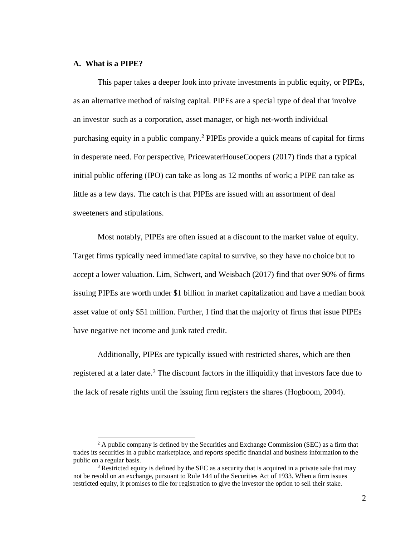# <span id="page-7-0"></span>**A. What is a PIPE?**

 $\overline{a}$ 

This paper takes a deeper look into private investments in public equity, or PIPEs, as an alternative method of raising capital. PIPEs are a special type of deal that involve an investor–such as a corporation, asset manager, or high net-worth individual– purchasing equity in a public company. <sup>2</sup> PIPEs provide a quick means of capital for firms in desperate need. For perspective, PricewaterHouseCoopers (2017) finds that a typical initial public offering (IPO) can take as long as 12 months of work; a PIPE can take as little as a few days. The catch is that PIPEs are issued with an assortment of deal sweeteners and stipulations.

Most notably, PIPEs are often issued at a discount to the market value of equity. Target firms typically need immediate capital to survive, so they have no choice but to accept a lower valuation. Lim, Schwert, and Weisbach (2017) find that over 90% of firms issuing PIPEs are worth under \$1 billion in market capitalization and have a median book asset value of only \$51 million. Further, I find that the majority of firms that issue PIPEs have negative net income and junk rated credit.

Additionally, PIPEs are typically issued with restricted shares, which are then registered at a later date.<sup>3</sup> The discount factors in the illiquidity that investors face due to the lack of resale rights until the issuing firm registers the shares (Hogboom, 2004).

 $2$  A public company is defined by the Securities and Exchange Commission (SEC) as a firm that trades its securities in a public marketplace, and reports specific financial and business information to the public on a regular basis.

 $3$  Restricted equity is defined by the SEC as a security that is acquired in a private sale that may not be resold on an exchange, pursuant to Rule 144 of the Securities Act of 1933. When a firm issues restricted equity, it promises to file for registration to give the investor the option to sell their stake.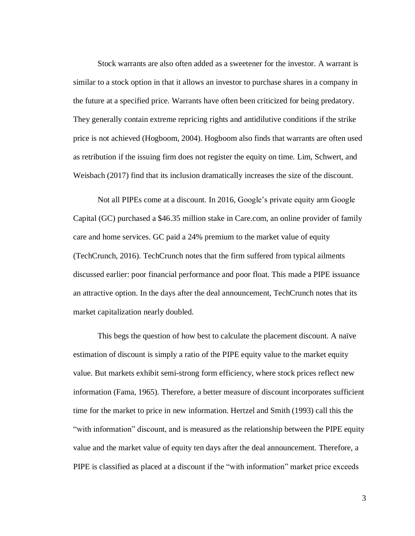Stock warrants are also often added as a sweetener for the investor. A warrant is similar to a stock option in that it allows an investor to purchase shares in a company in the future at a specified price. Warrants have often been criticized for being predatory. They generally contain extreme repricing rights and antidilutive conditions if the strike price is not achieved (Hogboom, 2004). Hogboom also finds that warrants are often used as retribution if the issuing firm does not register the equity on time. Lim, Schwert, and Weisbach (2017) find that its inclusion dramatically increases the size of the discount.

Not all PIPEs come at a discount. In 2016, Google's private equity arm Google Capital (GC) purchased a \$46.35 million stake in Care.com, an online provider of family care and home services. GC paid a 24% premium to the market value of equity (TechCrunch, 2016). TechCrunch notes that the firm suffered from typical ailments discussed earlier: poor financial performance and poor float. This made a PIPE issuance an attractive option. In the days after the deal announcement, TechCrunch notes that its market capitalization nearly doubled.

This begs the question of how best to calculate the placement discount. A naïve estimation of discount is simply a ratio of the PIPE equity value to the market equity value. But markets exhibit semi-strong form efficiency, where stock prices reflect new information (Fama, 1965). Therefore, a better measure of discount incorporates sufficient time for the market to price in new information. Hertzel and Smith (1993) call this the "with information" discount, and is measured as the relationship between the PIPE equity value and the market value of equity ten days after the deal announcement. Therefore, a PIPE is classified as placed at a discount if the "with information" market price exceeds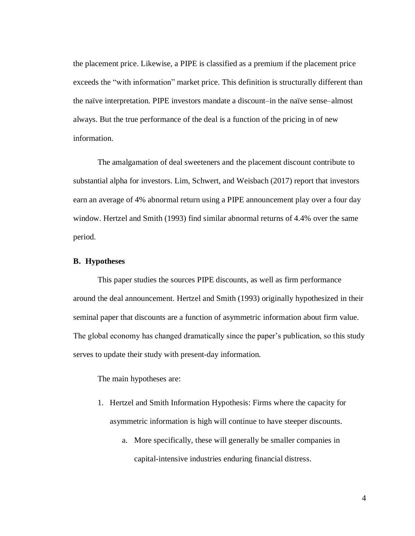the placement price. Likewise, a PIPE is classified as a premium if the placement price exceeds the "with information" market price. This definition is structurally different than the naïve interpretation. PIPE investors mandate a discount–in the naïve sense–almost always. But the true performance of the deal is a function of the pricing in of new information.

The amalgamation of deal sweeteners and the placement discount contribute to substantial alpha for investors. Lim, Schwert, and Weisbach (2017) report that investors earn an average of 4% abnormal return using a PIPE announcement play over a four day window. Hertzel and Smith (1993) find similar abnormal returns of 4.4% over the same period.

#### <span id="page-9-0"></span>**B. Hypotheses**

This paper studies the sources PIPE discounts, as well as firm performance around the deal announcement. Hertzel and Smith (1993) originally hypothesized in their seminal paper that discounts are a function of asymmetric information about firm value. The global economy has changed dramatically since the paper's publication, so this study serves to update their study with present-day information.

The main hypotheses are:

- 1. Hertzel and Smith Information Hypothesis: Firms where the capacity for asymmetric information is high will continue to have steeper discounts.
	- a. More specifically, these will generally be smaller companies in capital-intensive industries enduring financial distress.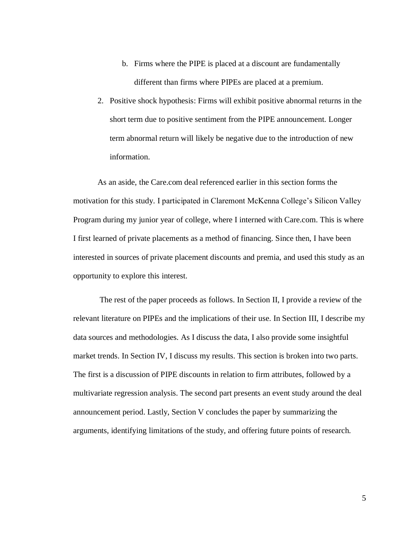- b. Firms where the PIPE is placed at a discount are fundamentally different than firms where PIPEs are placed at a premium.
- 2. Positive shock hypothesis: Firms will exhibit positive abnormal returns in the short term due to positive sentiment from the PIPE announcement. Longer term abnormal return will likely be negative due to the introduction of new information.

As an aside, the Care.com deal referenced earlier in this section forms the motivation for this study. I participated in Claremont McKenna College's Silicon Valley Program during my junior year of college, where I interned with Care.com. This is where I first learned of private placements as a method of financing. Since then, I have been interested in sources of private placement discounts and premia, and used this study as an opportunity to explore this interest.

The rest of the paper proceeds as follows. In Section II, I provide a review of the relevant literature on PIPEs and the implications of their use. In Section III, I describe my data sources and methodologies. As I discuss the data, I also provide some insightful market trends. In Section IV, I discuss my results. This section is broken into two parts. The first is a discussion of PIPE discounts in relation to firm attributes, followed by a multivariate regression analysis. The second part presents an event study around the deal announcement period. Lastly, Section V concludes the paper by summarizing the arguments, identifying limitations of the study, and offering future points of research.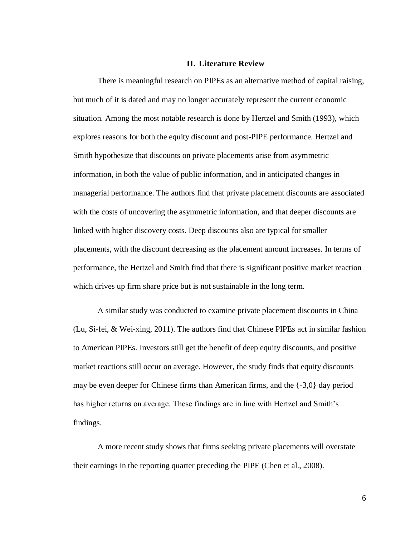### **II. Literature Review**

<span id="page-11-0"></span>There is meaningful research on PIPEs as an alternative method of capital raising, but much of it is dated and may no longer accurately represent the current economic situation. Among the most notable research is done by Hertzel and Smith (1993), which explores reasons for both the equity discount and post-PIPE performance. Hertzel and Smith hypothesize that discounts on private placements arise from asymmetric information, in both the value of public information, and in anticipated changes in managerial performance. The authors find that private placement discounts are associated with the costs of uncovering the asymmetric information, and that deeper discounts are linked with higher discovery costs. Deep discounts also are typical for smaller placements, with the discount decreasing as the placement amount increases. In terms of performance, the Hertzel and Smith find that there is significant positive market reaction which drives up firm share price but is not sustainable in the long term.

A similar study was conducted to examine private placement discounts in China (Lu, Si-fei, & Wei-xing, 2011). The authors find that Chinese PIPEs act in similar fashion to American PIPEs. Investors still get the benefit of deep equity discounts, and positive market reactions still occur on average. However, the study finds that equity discounts may be even deeper for Chinese firms than American firms, and the  $\{-3,0\}$  day period has higher returns on average. These findings are in line with Hertzel and Smith's findings.

A more recent study shows that firms seeking private placements will overstate their earnings in the reporting quarter preceding the PIPE (Chen et al., 2008).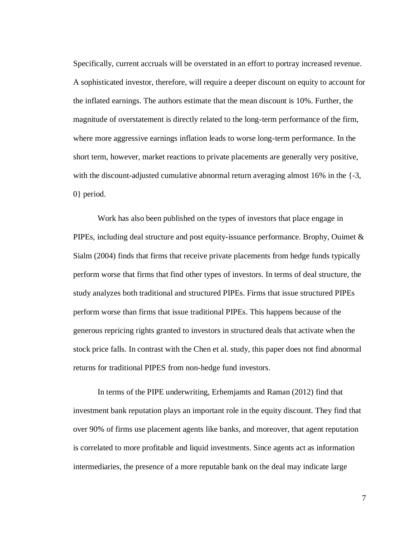Specifically, current accruals will be overstated in an effort to portray increased revenue. A sophisticated investor, therefore, will require a deeper discount on equity to account for the inflated earnings. The authors estimate that the mean discount is 10%. Further, the magnitude of overstatement is directly related to the long-term performance of the firm, where more aggressive earnings inflation leads to worse long-term performance. In the short term, however, market reactions to private placements are generally very positive, with the discount-adjusted cumulative abnormal return averaging almost 16% in the  $\{-3,$ 0} period.

Work has also been published on the types of investors that place engage in PIPEs, including deal structure and post equity-issuance performance. Brophy, Ouimet  $\&$ Sialm (2004) finds that firms that receive private placements from hedge funds typically perform worse that firms that find other types of investors. In terms of deal structure, the study analyzes both traditional and structured PIPEs. Firms that issue structured PIPEs perform worse than firms that issue traditional PIPEs. This happens because of the generous repricing rights granted to investors in structured deals that activate when the stock price falls. In contrast with the Chen et al. study, this paper does not find abnormal returns for traditional PIPES from non-hedge fund investors.

In terms of the PIPE underwriting, Erhemjamts and Raman (2012) find that investment bank reputation plays an important role in the equity discount. They find that over 90% of firms use placement agents like banks, and moreover, that agent reputation is correlated to more profitable and liquid investments. Since agents act as information intermediaries, the presence of a more reputable bank on the deal may indicate large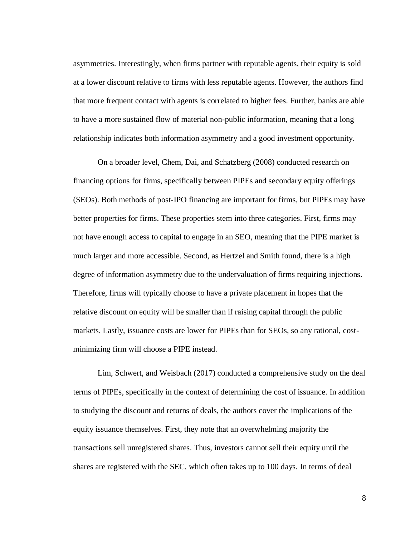asymmetries. Interestingly, when firms partner with reputable agents, their equity is sold at a lower discount relative to firms with less reputable agents. However, the authors find that more frequent contact with agents is correlated to higher fees. Further, banks are able to have a more sustained flow of material non-public information, meaning that a long relationship indicates both information asymmetry and a good investment opportunity.

On a broader level, Chem, Dai, and Schatzberg (2008) conducted research on financing options for firms, specifically between PIPEs and secondary equity offerings (SEOs). Both methods of post-IPO financing are important for firms, but PIPEs may have better properties for firms. These properties stem into three categories. First, firms may not have enough access to capital to engage in an SEO, meaning that the PIPE market is much larger and more accessible. Second, as Hertzel and Smith found, there is a high degree of information asymmetry due to the undervaluation of firms requiring injections. Therefore, firms will typically choose to have a private placement in hopes that the relative discount on equity will be smaller than if raising capital through the public markets. Lastly, issuance costs are lower for PIPEs than for SEOs, so any rational, costminimizing firm will choose a PIPE instead.

Lim, Schwert, and Weisbach (2017) conducted a comprehensive study on the deal terms of PIPEs, specifically in the context of determining the cost of issuance. In addition to studying the discount and returns of deals, the authors cover the implications of the equity issuance themselves. First, they note that an overwhelming majority the transactions sell unregistered shares. Thus, investors cannot sell their equity until the shares are registered with the SEC, which often takes up to 100 days. In terms of deal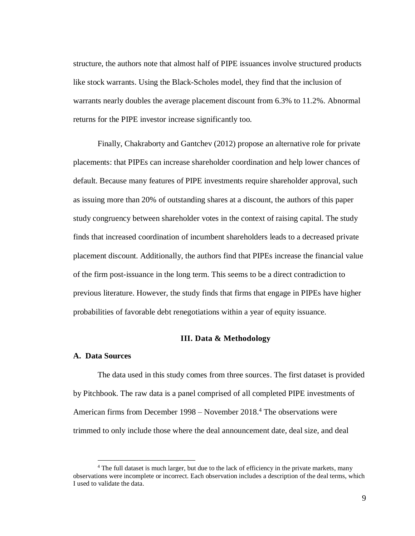structure, the authors note that almost half of PIPE issuances involve structured products like stock warrants. Using the Black-Scholes model, they find that the inclusion of warrants nearly doubles the average placement discount from 6.3% to 11.2%. Abnormal returns for the PIPE investor increase significantly too.

Finally, Chakraborty and Gantchev (2012) propose an alternative role for private placements: that PIPEs can increase shareholder coordination and help lower chances of default. Because many features of PIPE investments require shareholder approval, such as issuing more than 20% of outstanding shares at a discount, the authors of this paper study congruency between shareholder votes in the context of raising capital. The study finds that increased coordination of incumbent shareholders leads to a decreased private placement discount. Additionally, the authors find that PIPEs increase the financial value of the firm post-issuance in the long term. This seems to be a direct contradiction to previous literature. However, the study finds that firms that engage in PIPEs have higher probabilities of favorable debt renegotiations within a year of equity issuance.

## <span id="page-14-0"></span>**III. Data & Methodology**

#### <span id="page-14-1"></span>**A. Data Sources**

 $\overline{a}$ 

The data used in this study comes from three sources. The first dataset is provided by Pitchbook. The raw data is a panel comprised of all completed PIPE investments of American firms from December 1998 – November 2018. <sup>4</sup> The observations were trimmed to only include those where the deal announcement date, deal size, and deal

<sup>4</sup> The full dataset is much larger, but due to the lack of efficiency in the private markets, many observations were incomplete or incorrect. Each observation includes a description of the deal terms, which I used to validate the data.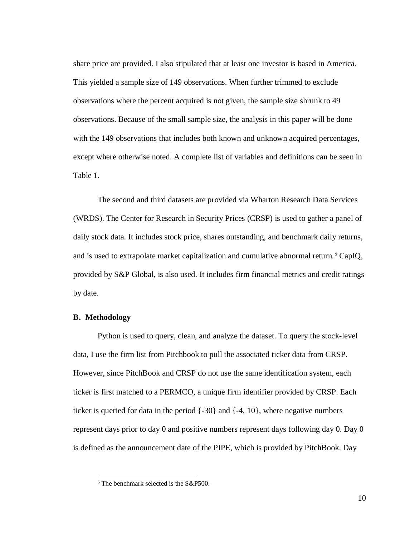share price are provided. I also stipulated that at least one investor is based in America. This yielded a sample size of 149 observations. When further trimmed to exclude observations where the percent acquired is not given, the sample size shrunk to 49 observations. Because of the small sample size, the analysis in this paper will be done with the 149 observations that includes both known and unknown acquired percentages, except where otherwise noted. A complete list of variables and definitions can be seen in [Table 1.](#page-34-1)

The second and third datasets are provided via Wharton Research Data Services (WRDS). The Center for Research in Security Prices (CRSP) is used to gather a panel of daily stock data. It includes stock price, shares outstanding, and benchmark daily returns, and is used to extrapolate market capitalization and cumulative abnormal return.<sup>5</sup> CapIQ, provided by S&P Global, is also used. It includes firm financial metrics and credit ratings by date.

#### <span id="page-15-0"></span>**B. Methodology**

 $\overline{a}$ 

Python is used to query, clean, and analyze the dataset. To query the stock-level data, I use the firm list from Pitchbook to pull the associated ticker data from CRSP. However, since PitchBook and CRSP do not use the same identification system, each ticker is first matched to a PERMCO, a unique firm identifier provided by CRSP. Each ticker is queried for data in the period  $\{-30\}$  and  $\{-4, 10\}$ , where negative numbers represent days prior to day 0 and positive numbers represent days following day 0. Day 0 is defined as the announcement date of the PIPE, which is provided by PitchBook. Day

<sup>5</sup> The benchmark selected is the S&P500.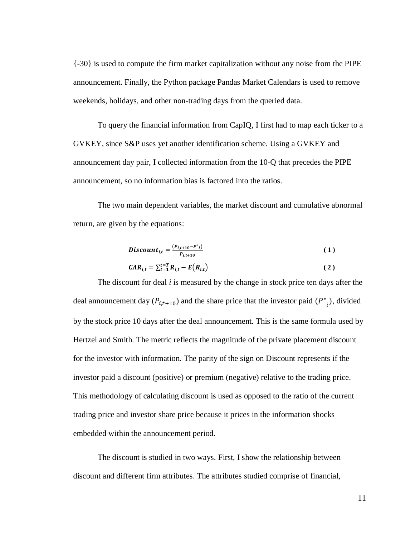{-30} is used to compute the firm market capitalization without any noise from the PIPE announcement. Finally, the Python package Pandas Market Calendars is used to remove weekends, holidays, and other non-trading days from the queried data.

To query the financial information from CapIQ, I first had to map each ticker to a GVKEY, since S&P uses yet another identification scheme. Using a GVKEY and announcement day pair, I collected information from the 10-Q that precedes the PIPE announcement, so no information bias is factored into the ratios.

The two main dependent variables, the market discount and cumulative abnormal return, are given by the equations:

$$
Discount_{i,t} = \frac{(P_{i,t+10} - P^*_{i})}{P_{i,t+10}}
$$
 (1)

$$
CAR_{i,t} = \sum_{t=1}^{t=T} R_{i,t} - E(R_{i,t})
$$
\n(2)

The discount for deal *i* is measured by the change in stock price ten days after the deal announcement day  $(P_{i,t+10})$  and the share price that the investor paid  $(P^*)$  $(i)$ , divided by the stock price 10 days after the deal announcement. This is the same formula used by Hertzel and Smith. The metric reflects the magnitude of the private placement discount for the investor with information. The parity of the sign on Discount represents if the investor paid a discount (positive) or premium (negative) relative to the trading price. This methodology of calculating discount is used as opposed to the ratio of the current trading price and investor share price because it prices in the information shocks embedded within the announcement period.

The discount is studied in two ways. First, I show the relationship between discount and different firm attributes. The attributes studied comprise of financial,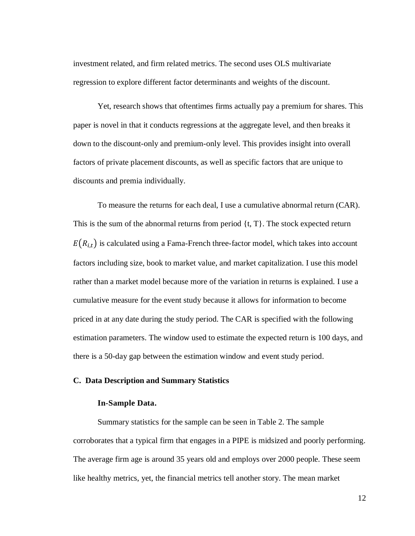investment related, and firm related metrics. The second uses OLS multivariate regression to explore different factor determinants and weights of the discount.

Yet, research shows that oftentimes firms actually pay a premium for shares. This paper is novel in that it conducts regressions at the aggregate level, and then breaks it down to the discount-only and premium-only level. This provides insight into overall factors of private placement discounts, as well as specific factors that are unique to discounts and premia individually.

To measure the returns for each deal, I use a cumulative abnormal return (CAR). This is the sum of the abnormal returns from period  $\{t, T\}$ . The stock expected return  $E(R_{i,t})$  is calculated using a Fama-French three-factor model, which takes into account factors including size, book to market value, and market capitalization. I use this model rather than a market model because more of the variation in returns is explained. I use a cumulative measure for the event study because it allows for information to become priced in at any date during the study period. The CAR is specified with the following estimation parameters. The window used to estimate the expected return is 100 days, and there is a 50-day gap between the estimation window and event study period.

#### <span id="page-17-1"></span><span id="page-17-0"></span>**C. Data Description and Summary Statistics**

#### **In-Sample Data.**

Summary statistics for the sample can be seen in [Table 2.](#page-35-0) The sample corroborates that a typical firm that engages in a PIPE is midsized and poorly performing. The average firm age is around 35 years old and employs over 2000 people. These seem like healthy metrics, yet, the financial metrics tell another story. The mean market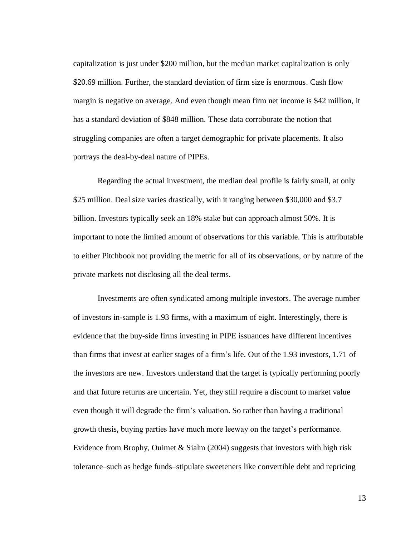capitalization is just under \$200 million, but the median market capitalization is only \$20.69 million. Further, the standard deviation of firm size is enormous. Cash flow margin is negative on average. And even though mean firm net income is \$42 million, it has a standard deviation of \$848 million. These data corroborate the notion that struggling companies are often a target demographic for private placements. It also portrays the deal-by-deal nature of PIPEs.

Regarding the actual investment, the median deal profile is fairly small, at only \$25 million. Deal size varies drastically, with it ranging between \$30,000 and \$3.7 billion. Investors typically seek an 18% stake but can approach almost 50%. It is important to note the limited amount of observations for this variable. This is attributable to either Pitchbook not providing the metric for all of its observations, or by nature of the private markets not disclosing all the deal terms.

Investments are often syndicated among multiple investors. The average number of investors in-sample is 1.93 firms, with a maximum of eight. Interestingly, there is evidence that the buy-side firms investing in PIPE issuances have different incentives than firms that invest at earlier stages of a firm's life. Out of the 1.93 investors, 1.71 of the investors are new. Investors understand that the target is typically performing poorly and that future returns are uncertain. Yet, they still require a discount to market value even though it will degrade the firm's valuation. So rather than having a traditional growth thesis, buying parties have much more leeway on the target's performance. Evidence from Brophy, Ouimet & Sialm (2004) suggests that investors with high risk tolerance–such as hedge funds–stipulate sweeteners like convertible debt and repricing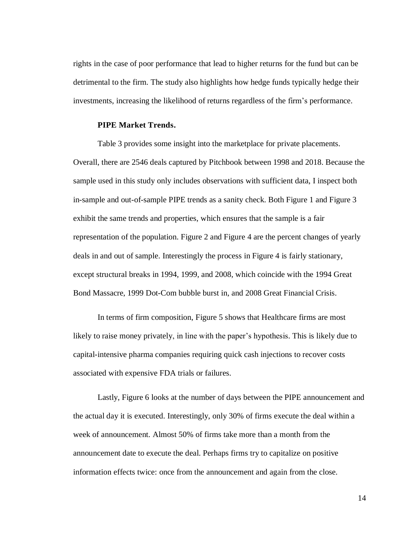rights in the case of poor performance that lead to higher returns for the fund but can be detrimental to the firm. The study also highlights how hedge funds typically hedge their investments, increasing the likelihood of returns regardless of the firm's performance.

#### **PIPE Market Trends.**

<span id="page-19-0"></span>[Table 3](#page-36-0) provides some insight into the marketplace for private placements. Overall, there are 2546 deals captured by Pitchbook between 1998 and 2018. Because the sample used in this study only includes observations with sufficient data, I inspect both in-sample and out-of-sample PIPE trends as a sanity check. Both [Figure 1](#page-36-1) and [Figure 3](#page-36-2) exhibit the same trends and properties, which ensures that the sample is a fair representation of the population. [Figure 2](#page-36-3) and [Figure 4](#page-36-4) are the percent changes of yearly deals in and out of sample. Interestingly the process in [Figure 4](#page-36-4) is fairly stationary, except structural breaks in 1994, 1999, and 2008, which coincide with the 1994 Great Bond Massacre, 1999 Dot-Com bubble burst in, and 2008 Great Financial Crisis.

In terms of firm composition, [Figure 5](#page-36-5) shows that Healthcare firms are most likely to raise money privately, in line with the paper's hypothesis. This is likely due to capital-intensive pharma companies requiring quick cash injections to recover costs associated with expensive FDA trials or failures.

Lastly, [Figure 6](#page-36-6) looks at the number of days between the PIPE announcement and the actual day it is executed. Interestingly, only 30% of firms execute the deal within a week of announcement. Almost 50% of firms take more than a month from the announcement date to execute the deal. Perhaps firms try to capitalize on positive information effects twice: once from the announcement and again from the close.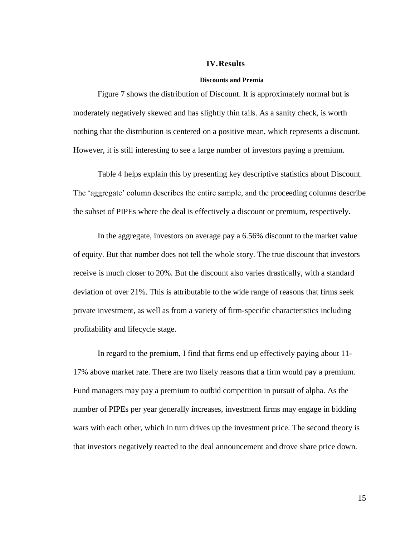#### **IV.Results**

#### **Discounts and Premi[a](#page-36-7)**

<span id="page-20-1"></span><span id="page-20-0"></span>[Figure 7](#page-36-7) shows the distribution of Discount. It is approximately normal but is moderately negatively skewed and has slightly thin tails. As a sanity check, is worth nothing that the distribution is centered on a positive mean, which represents a discount. However, it is still interesting to see a large number of investors paying a premium.

[Table 4](#page-38-0) helps explain this by presenting key descriptive statistics about Discount. The 'aggregate' column describes the entire sample, and the proceeding columns describe the subset of PIPEs where the deal is effectively a discount or premium, respectively.

In the aggregate, investors on average pay a 6.56% discount to the market value of equity. But that number does not tell the whole story. The true discount that investors receive is much closer to 20%. But the discount also varies drastically, with a standard deviation of over 21%. This is attributable to the wide range of reasons that firms seek private investment, as well as from a variety of firm-specific characteristics including profitability and lifecycle stage.

In regard to the premium, I find that firms end up effectively paying about 11- 17% above market rate. There are two likely reasons that a firm would pay a premium. Fund managers may pay a premium to outbid competition in pursuit of alpha. As the number of PIPEs per year generally increases, investment firms may engage in bidding wars with each other, which in turn drives up the investment price. The second theory is that investors negatively reacted to the deal announcement and drove share price down.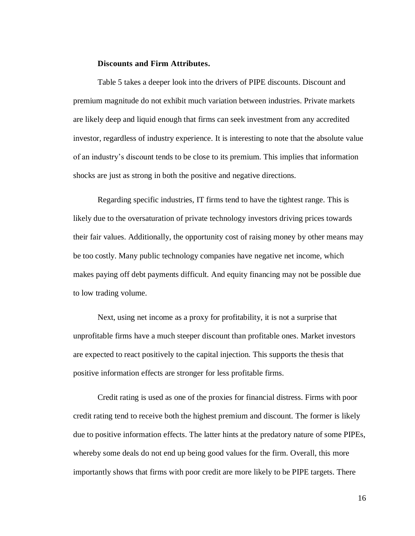# **Discounts and Firm Attributes.**

<span id="page-21-0"></span>[Table 5](#page-39-0) takes a deeper look into the drivers of PIPE discounts. Discount and premium magnitude do not exhibit much variation between industries. Private markets are likely deep and liquid enough that firms can seek investment from any accredited investor, regardless of industry experience. It is interesting to note that the absolute value of an industry's discount tends to be close to its premium. This implies that information shocks are just as strong in both the positive and negative directions.

Regarding specific industries, IT firms tend to have the tightest range. This is likely due to the oversaturation of private technology investors driving prices towards their fair values. Additionally, the opportunity cost of raising money by other means may be too costly. Many public technology companies have negative net income, which makes paying off debt payments difficult. And equity financing may not be possible due to low trading volume.

Next, using net income as a proxy for profitability, it is not a surprise that unprofitable firms have a much steeper discount than profitable ones. Market investors are expected to react positively to the capital injection. This supports the thesis that positive information effects are stronger for less profitable firms.

Credit rating is used as one of the proxies for financial distress. Firms with poor credit rating tend to receive both the highest premium and discount. The former is likely due to positive information effects. The latter hints at the predatory nature of some PIPEs, whereby some deals do not end up being good values for the firm. Overall, this more importantly shows that firms with poor credit are more likely to be PIPE targets. There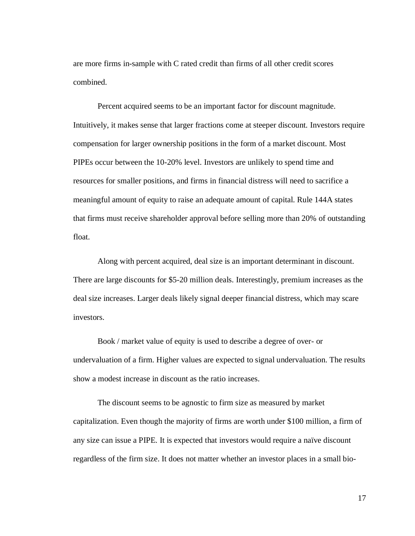are more firms in-sample with C rated credit than firms of all other credit scores combined.

Percent acquired seems to be an important factor for discount magnitude. Intuitively, it makes sense that larger fractions come at steeper discount. Investors require compensation for larger ownership positions in the form of a market discount. Most PIPEs occur between the 10-20% level. Investors are unlikely to spend time and resources for smaller positions, and firms in financial distress will need to sacrifice a meaningful amount of equity to raise an adequate amount of capital. Rule 144A states that firms must receive shareholder approval before selling more than 20% of outstanding float.

Along with percent acquired, deal size is an important determinant in discount. There are large discounts for \$5-20 million deals. Interestingly, premium increases as the deal size increases. Larger deals likely signal deeper financial distress, which may scare investors.

Book / market value of equity is used to describe a degree of over- or undervaluation of a firm. Higher values are expected to signal undervaluation. The results show a modest increase in discount as the ratio increases.

The discount seems to be agnostic to firm size as measured by market capitalization. Even though the majority of firms are worth under \$100 million, a firm of any size can issue a PIPE. It is expected that investors would require a naïve discount regardless of the firm size. It does not matter whether an investor places in a small bio-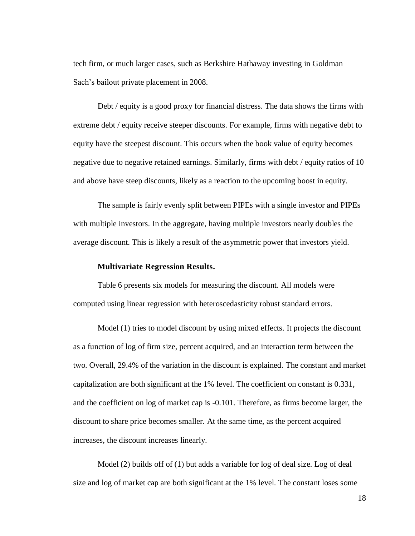tech firm, or much larger cases, such as Berkshire Hathaway investing in Goldman Sach's bailout private placement in 2008.

Debt / equity is a good proxy for financial distress. The data shows the firms with extreme debt / equity receive steeper discounts. For example, firms with negative debt to equity have the steepest discount. This occurs when the book value of equity becomes negative due to negative retained earnings. Similarly, firms with debt / equity ratios of 10 and above have steep discounts, likely as a reaction to the upcoming boost in equity.

The sample is fairly evenly split between PIPEs with a single investor and PIPEs with multiple investors. In the aggregate, having multiple investors nearly doubles the average discount. This is likely a result of the asymmetric power that investors yield.

#### **Multivariate Regression Results.**

<span id="page-23-0"></span>[Table 6](#page-41-0) presents six models for measuring the discount. All models were computed using linear regression with heteroscedasticity robust standard errors.

Model (1) tries to model discount by using mixed effects. It projects the discount as a function of log of firm size, percent acquired, and an interaction term between the two. Overall, 29.4% of the variation in the discount is explained. The constant and market capitalization are both significant at the 1% level. The coefficient on constant is 0.331, and the coefficient on log of market cap is -0.101. Therefore, as firms become larger, the discount to share price becomes smaller. At the same time, as the percent acquired increases, the discount increases linearly.

Model (2) builds off of (1) but adds a variable for log of deal size. Log of deal size and log of market cap are both significant at the 1% level. The constant loses some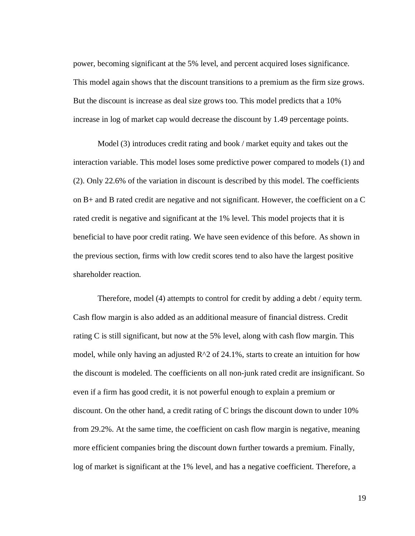power, becoming significant at the 5% level, and percent acquired loses significance. This model again shows that the discount transitions to a premium as the firm size grows. But the discount is increase as deal size grows too. This model predicts that a 10% increase in log of market cap would decrease the discount by 1.49 percentage points.

Model (3) introduces credit rating and book / market equity and takes out the interaction variable. This model loses some predictive power compared to models (1) and (2). Only 22.6% of the variation in discount is described by this model. The coefficients on B+ and B rated credit are negative and not significant. However, the coefficient on a C rated credit is negative and significant at the 1% level. This model projects that it is beneficial to have poor credit rating. We have seen evidence of this before. As shown in the previous section, firms with low credit scores tend to also have the largest positive shareholder reaction.

Therefore, model (4) attempts to control for credit by adding a debt / equity term. Cash flow margin is also added as an additional measure of financial distress. Credit rating C is still significant, but now at the 5% level, along with cash flow margin. This model, while only having an adjusted  $R^2$  of 24.1%, starts to create an intuition for how the discount is modeled. The coefficients on all non-junk rated credit are insignificant. So even if a firm has good credit, it is not powerful enough to explain a premium or discount. On the other hand, a credit rating of C brings the discount down to under 10% from 29.2%. At the same time, the coefficient on cash flow margin is negative, meaning more efficient companies bring the discount down further towards a premium. Finally, log of market is significant at the 1% level, and has a negative coefficient. Therefore, a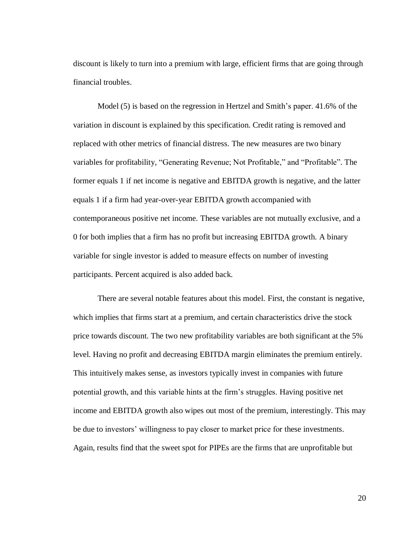discount is likely to turn into a premium with large, efficient firms that are going through financial troubles.

Model (5) is based on the regression in Hertzel and Smith's paper. 41.6% of the variation in discount is explained by this specification. Credit rating is removed and replaced with other metrics of financial distress. The new measures are two binary variables for profitability, "Generating Revenue; Not Profitable," and "Profitable". The former equals 1 if net income is negative and EBITDA growth is negative, and the latter equals 1 if a firm had year-over-year EBITDA growth accompanied with contemporaneous positive net income. These variables are not mutually exclusive, and a 0 for both implies that a firm has no profit but increasing EBITDA growth. A binary variable for single investor is added to measure effects on number of investing participants. Percent acquired is also added back.

There are several notable features about this model. First, the constant is negative, which implies that firms start at a premium, and certain characteristics drive the stock price towards discount. The two new profitability variables are both significant at the 5% level. Having no profit and decreasing EBITDA margin eliminates the premium entirely. This intuitively makes sense, as investors typically invest in companies with future potential growth, and this variable hints at the firm's struggles. Having positive net income and EBITDA growth also wipes out most of the premium, interestingly. This may be due to investors' willingness to pay closer to market price for these investments. Again, results find that the sweet spot for PIPEs are the firms that are unprofitable but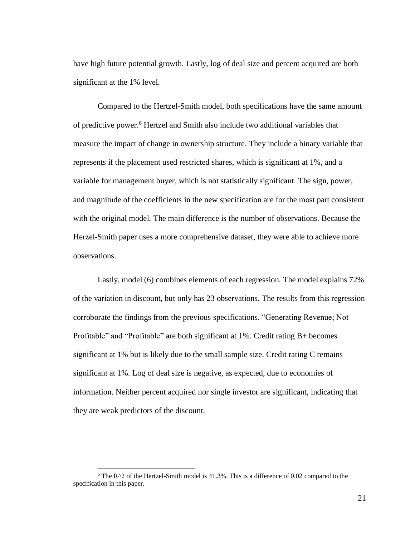have high future potential growth. Lastly, log of deal size and percent acquired are both significant at the 1% level.

Compared to the Hertzel-Smith model, both specifications have the same amount of predictive power.<sup>6</sup> Hertzel and Smith also include two additional variables that measure the impact of change in ownership structure. They include a binary variable that represents if the placement used restricted shares, which is significant at 1%, and a variable for management buyer, which is not statistically significant. The sign, power, and magnitude of the coefficients in the new specification are for the most part consistent with the original model. The main difference is the number of observations. Because the Herzel-Smith paper uses a more comprehensive dataset, they were able to achieve more observations.

Lastly, model (6) combines elements of each regression. The model explains 72% of the variation in discount, but only has 23 observations. The results from this regression corroborate the findings from the previous specifications. "Generating Revenue; Not Profitable" and "Profitable" are both significant at 1%. Credit rating B+ becomes significant at 1% but is likely due to the small sample size. Credit rating C remains significant at 1%. Log of deal size is negative, as expected, due to economies of information. Neither percent acquired nor single investor are significant, indicating that they are weak predictors of the discount.

 $\overline{a}$ 

 $6$  The R^2 of the Hertzel-Smith model is 41.3%. This is a difference of 0.02 compared to the specification in this paper.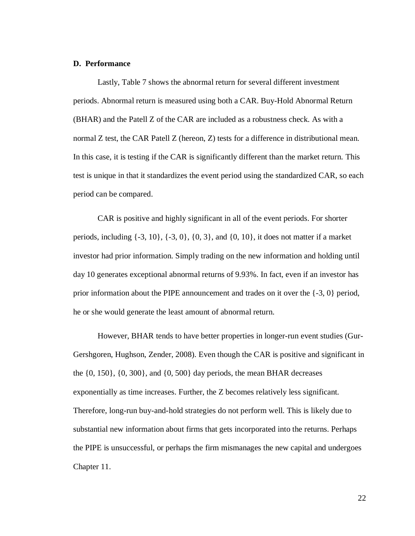# <span id="page-27-0"></span>**D. Performance**

Lastly, [Table 7](#page-42-0) shows the abnormal return for several different investment periods. Abnormal return is measured using both a CAR. Buy-Hold Abnormal Return (BHAR) and the Patell Z of the CAR are included as a robustness check. As with a normal Z test, the CAR Patell Z (hereon, Z) tests for a difference in distributional mean. In this case, it is testing if the CAR is significantly different than the market return. This test is unique in that it standardizes the event period using the standardized CAR, so each period can be compared.

CAR is positive and highly significant in all of the event periods. For shorter periods, including  $\{-3, 10\}$ ,  $\{-3, 0\}$ ,  $\{0, 3\}$ , and  $\{0, 10\}$ , it does not matter if a market investor had prior information. Simply trading on the new information and holding until day 10 generates exceptional abnormal returns of 9.93%. In fact, even if an investor has prior information about the PIPE announcement and trades on it over the  $\{-3, 0\}$  period, he or she would generate the least amount of abnormal return.

However, BHAR tends to have better properties in longer-run event studies (Gur-Gershgoren, Hughson, Zender, 2008). Even though the CAR is positive and significant in the  $\{0, 150\}$ ,  $\{0, 300\}$ , and  $\{0, 500\}$  day periods, the mean BHAR decreases exponentially as time increases. Further, the Z becomes relatively less significant. Therefore, long-run buy-and-hold strategies do not perform well. This is likely due to substantial new information about firms that gets incorporated into the returns. Perhaps the PIPE is unsuccessful, or perhaps the firm mismanages the new capital and undergoes Chapter 11.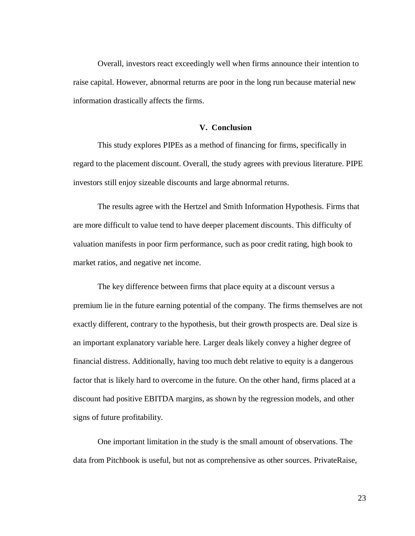Overall, investors react exceedingly well when firms announce their intention to raise capital. However, abnormal returns are poor in the long run because material new information drastically affects the firms.

# **V. Conclusion**

<span id="page-28-0"></span>This study explores PIPEs as a method of financing for firms, specifically in regard to the placement discount. Overall, the study agrees with previous literature. PIPE investors still enjoy sizeable discounts and large abnormal returns.

The results agree with the Hertzel and Smith Information Hypothesis. Firms that are more difficult to value tend to have deeper placement discounts. This difficulty of valuation manifests in poor firm performance, such as poor credit rating, high book to market ratios, and negative net income.

The key difference between firms that place equity at a discount versus a premium lie in the future earning potential of the company. The firms themselves are not exactly different, contrary to the hypothesis, but their growth prospects are. Deal size is an important explanatory variable here. Larger deals likely convey a higher degree of financial distress. Additionally, having too much debt relative to equity is a dangerous factor that is likely hard to overcome in the future. On the other hand, firms placed at a discount had positive EBITDA margins, as shown by the regression models, and other signs of future profitability.

One important limitation in the study is the small amount of observations. The data from Pitchbook is useful, but not as comprehensive as other sources. PrivateRaise,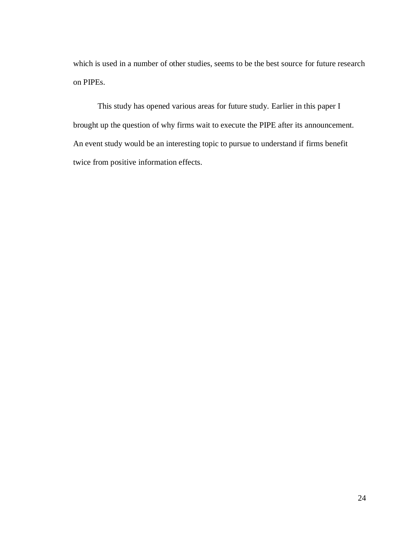which is used in a number of other studies, seems to be the best source for future research on PIPEs.

This study has opened various areas for future study. Earlier in this paper I brought up the question of why firms wait to execute the PIPE after its announcement. An event study would be an interesting topic to pursue to understand if firms benefit twice from positive information effects.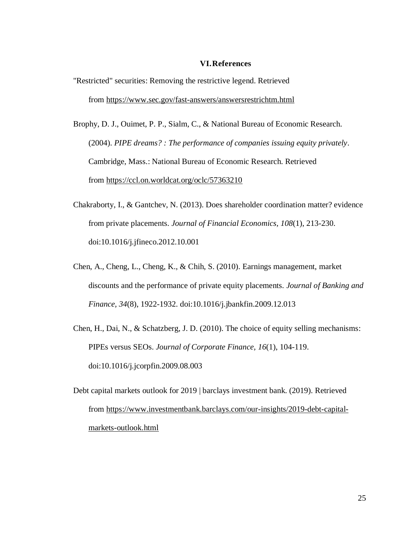#### **VI.References**

<span id="page-30-0"></span>"Restricted" securities: Removing the restrictive legend. Retrieved from <https://www.sec.gov/fast-answers/answersrestrichtm.html>

Brophy, D. J., Ouimet, P. P., Sialm, C., & National Bureau of Economic Research. (2004). *PIPE dreams? : The performance of companies issuing equity privately*. Cambridge, Mass.: National Bureau of Economic Research. Retrieved from <https://ccl.on.worldcat.org/oclc/57363210>

- Chakraborty, I., & Gantchev, N. (2013). Does shareholder coordination matter? evidence from private placements. *Journal of Financial Economics, 108*(1), 213-230. doi:10.1016/j.jfineco.2012.10.001
- Chen, A., Cheng, L., Cheng, K., & Chih, S. (2010). Earnings management, market discounts and the performance of private equity placements. *Journal of Banking and Finance, 34*(8), 1922-1932. doi:10.1016/j.jbankfin.2009.12.013
- Chen, H., Dai, N., & Schatzberg, J. D. (2010). The choice of equity selling mechanisms: PIPEs versus SEOs. *Journal of Corporate Finance, 16*(1), 104-119. doi:10.1016/j.jcorpfin.2009.08.003
- Debt capital markets outlook for 2019 | barclays investment bank. (2019). Retrieved from [https://www.investmentbank.barclays.com/our-insights/2019-debt-capital](https://www.investmentbank.barclays.com/our-insights/2019-debt-capital-markets-outlook.html)[markets-outlook.html](https://www.investmentbank.barclays.com/our-insights/2019-debt-capital-markets-outlook.html)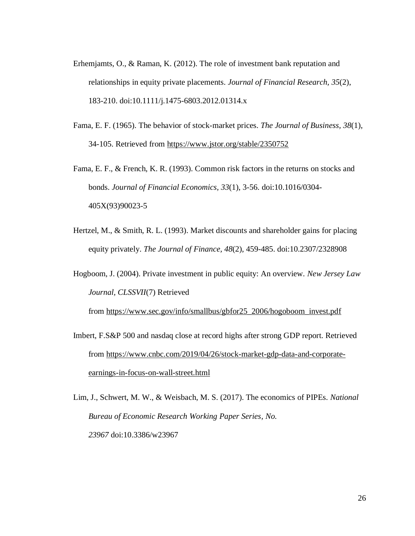- Erhemjamts, O., & Raman, K. (2012). The role of investment bank reputation and relationships in equity private placements. *Journal of Financial Research, 35*(2), 183-210. doi:10.1111/j.1475-6803.2012.01314.x
- Fama, E. F. (1965). The behavior of stock-market prices. *The Journal of Business, 38*(1), 34-105. Retrieved from <https://www.jstor.org/stable/2350752>
- Fama, E. F., & French, K. R. (1993). Common risk factors in the returns on stocks and bonds. *Journal of Financial Economics, 33*(1), 3-56. doi:10.1016/0304- 405X(93)90023-5
- Hertzel, M., & Smith, R. L. (1993). Market discounts and shareholder gains for placing equity privately. *The Journal of Finance, 48*(2), 459-485. doi:10.2307/2328908
- Hogboom, J. (2004). Private investment in public equity: An overview. *New Jersey Law Journal, CLSSVII*(7) Retrieved

from [https://www.sec.gov/info/smallbus/gbfor25\\_2006/hogoboom\\_invest.pdf](https://www.sec.gov/info/smallbus/gbfor25_2006/hogoboom_invest.pdf)

Imbert, F.S&P 500 and nasdaq close at record highs after strong GDP report. Retrieved from [https://www.cnbc.com/2019/04/26/stock-market-gdp-data-and-corporate](https://www.cnbc.com/2019/04/26/stock-market-gdp-data-and-corporate-earnings-in-focus-on-wall-street.html)[earnings-in-focus-on-wall-street.html](https://www.cnbc.com/2019/04/26/stock-market-gdp-data-and-corporate-earnings-in-focus-on-wall-street.html)

Lim, J., Schwert, M. W., & Weisbach, M. S. (2017). The economics of PIPEs. *National Bureau of Economic Research Working Paper Series, No. 23967* doi:10.3386/w23967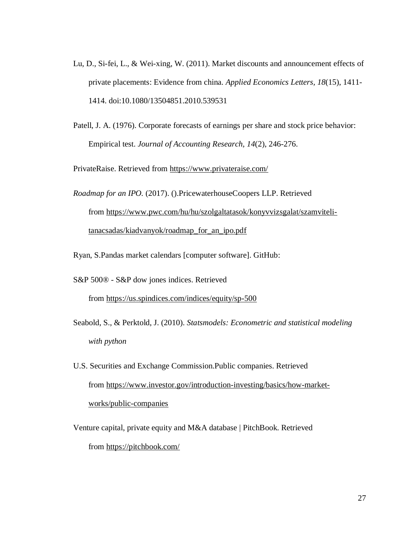- Lu, D., Si-fei, L., & Wei-xing, W. (2011). Market discounts and announcement effects of private placements: Evidence from china. *Applied Economics Letters, 18*(15), 1411- 1414. doi:10.1080/13504851.2010.539531
- Patell, J. A. (1976). Corporate forecasts of earnings per share and stock price behavior: Empirical test. *Journal of Accounting Research, 14*(2), 246-276.

PrivateRaise. Retrieved from <https://www.privateraise.com/>

*Roadmap for an IPO.* (2017). ().PricewaterhouseCoopers LLP. Retrieved from [https://www.pwc.com/hu/hu/szolgaltatasok/konyvvizsgalat/szamviteli](https://www.pwc.com/hu/hu/szolgaltatasok/konyvvizsgalat/szamviteli-tanacsadas/kiadvanyok/roadmap_for_an_ipo.pdf)[tanacsadas/kiadvanyok/roadmap\\_for\\_an\\_ipo.pdf](https://www.pwc.com/hu/hu/szolgaltatasok/konyvvizsgalat/szamviteli-tanacsadas/kiadvanyok/roadmap_for_an_ipo.pdf)

Ryan, S.Pandas market calendars [computer software]. GitHub:

- S&P 500® S&P dow jones indices. Retrieved from <https://us.spindices.com/indices/equity/sp-500>
- Seabold, S., & Perktold, J. (2010). *Statsmodels: Econometric and statistical modeling with python*
- U.S. Securities and Exchange Commission.Public companies. Retrieved from [https://www.investor.gov/introduction-investing/basics/how-market](https://www.investor.gov/introduction-investing/basics/how-market-works/public-companies)[works/public-companies](https://www.investor.gov/introduction-investing/basics/how-market-works/public-companies)
- Venture capital, private equity and M&A database | PitchBook. Retrieved from <https://pitchbook.com/>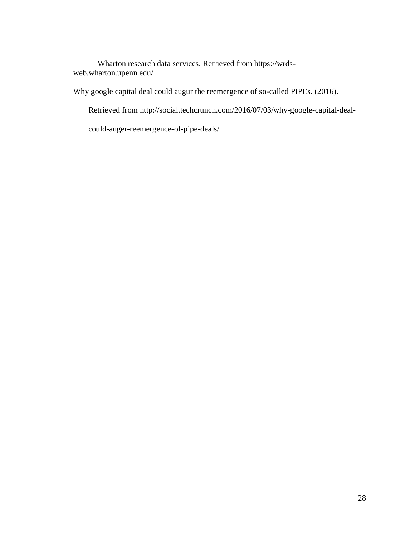Wharton research data services. Retrieved from https://wrdsweb.wharton.upenn.edu/

Why google capital deal could augur the reemergence of so-called PIPEs. (2016).

Retrieved from [http://social.techcrunch.com/2016/07/03/why-google-capital-deal-](http://social.techcrunch.com/2016/07/03/why-google-capital-deal-could-auger-reemergence-of-pipe-deals/)

[could-auger-reemergence-of-pipe-deals/](http://social.techcrunch.com/2016/07/03/why-google-capital-deal-could-auger-reemergence-of-pipe-deals/)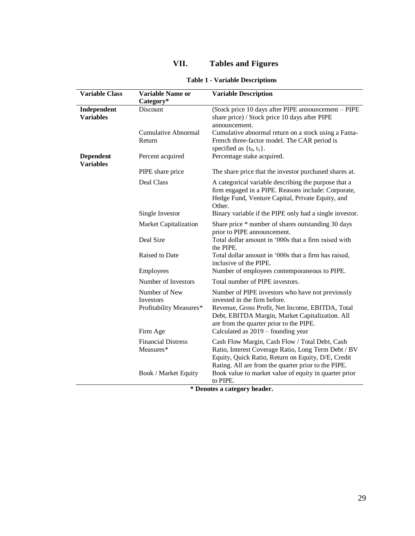# **VII. Tables and Figures**

<span id="page-34-1"></span><span id="page-34-0"></span>

| <b>Variable Class</b>                | <b>Variable Name or</b><br>Category*   | <b>Variable Description</b>                                                                                                                                                                                        |
|--------------------------------------|----------------------------------------|--------------------------------------------------------------------------------------------------------------------------------------------------------------------------------------------------------------------|
| Independent<br><b>Variables</b>      | Discount                               | (Stock price 10 days after PIPE announcement - PIPE<br>share price) / Stock price 10 days after PIPE<br>announcement.                                                                                              |
|                                      | Cumulative Abnormal<br>Return          | Cumulative abnormal return on a stock using a Fama-<br>French three-factor model. The CAR period is<br>specified as $\{t_0, t_1\}$ .                                                                               |
| <b>Dependent</b><br><b>Variables</b> | Percent acquired                       | Percentage stake acquired.                                                                                                                                                                                         |
|                                      | PIPE share price                       | The share price that the investor purchased shares at.                                                                                                                                                             |
|                                      | Deal Class                             | A categorical variable describing the purpose that a<br>firm engaged in a PIPE. Reasons include: Corporate,<br>Hedge Fund, Venture Capital, Private Equity, and<br>Other.                                          |
|                                      | Single Investor                        | Binary variable if the PIPE only had a single investor.                                                                                                                                                            |
|                                      | Market Capitalization                  | Share price * number of shares outstanding 30 days<br>prior to PIPE announcement.                                                                                                                                  |
|                                      | Deal Size                              | Total dollar amount in '000s that a firm raised with<br>the PIPE.                                                                                                                                                  |
|                                      | Raised to Date                         | Total dollar amount in '000s that a firm has raised,<br>inclusive of the PIPE.                                                                                                                                     |
|                                      | Employees                              | Number of employees contemporaneous to PIPE.                                                                                                                                                                       |
|                                      | Number of Investors                    | Total number of PIPE investors.                                                                                                                                                                                    |
|                                      | Number of New<br><b>Investors</b>      | Number of PIPE investors who have not previously<br>invested in the firm before.                                                                                                                                   |
|                                      | Profitability Measures*                | Revenue, Gross Profit, Net Income, EBITDA, Total<br>Debt, EBITDA Margin, Market Capitalization. All<br>are from the quarter prior to the PIPE.                                                                     |
|                                      | Firm Age                               | Calculated as $2019$ – founding year                                                                                                                                                                               |
|                                      | <b>Financial Distress</b><br>Measures* | Cash Flow Margin, Cash Flow / Total Debt, Cash<br>Ratio, Interest Coverage Ratio, Long Term Debt / BV<br>Equity, Quick Ratio, Return on Equity, D/E, Credit<br>Rating. All are from the quarter prior to the PIPE. |
|                                      | Book / Market Equity                   | Book value to market value of equity in quarter prior<br>to PIPE.                                                                                                                                                  |

# **Table 1 - Variable Descriptions**

**<sup>\*</sup> Denotes a category header.**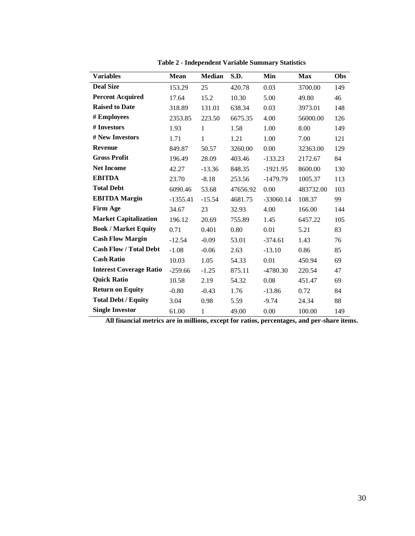<span id="page-35-0"></span>

| <b>Variables</b>               | Mean       | <b>Median</b> | S.D.     | Min         | <b>Max</b> | Obs |
|--------------------------------|------------|---------------|----------|-------------|------------|-----|
| <b>Deal Size</b>               | 153.29     | 25            | 420.78   | 0.03        | 3700.00    | 149 |
| <b>Percent Acquired</b>        | 17.64      | 15.2          | 10.30    | 5.00        | 49.80      | 46  |
| <b>Raised to Date</b>          | 318.89     | 131.01        | 638.34   | 0.03        | 3973.01    | 148 |
| # Employees                    | 2353.85    | 223.50        | 6675.35  | 4.00        | 56000.00   | 126 |
| # Investors                    | 1.93       | $\mathbf{1}$  | 1.58     | 1.00        | 8.00       | 149 |
| # New Investors                | 1.71       | 1             | 1.21     | 1.00        | 7.00       | 121 |
| <b>Revenue</b>                 | 849.87     | 50.57         | 3260.00  | 0.00        | 32363.00   | 129 |
| <b>Gross Profit</b>            | 196.49     | 28.09         | 403.46   | $-133.23$   | 2172.67    | 84  |
| <b>Net Income</b>              | 42.27      | $-13.36$      | 848.35   | $-1921.95$  | 8600.00    | 130 |
| <b>EBITDA</b>                  | 23.70      | $-8.18$       | 253.56   | $-1479.79$  | 1005.37    | 113 |
| <b>Total Debt</b>              | 6090.46    | 53.68         | 47656.92 | 0.00        | 483732.00  | 103 |
| <b>EBITDA Margin</b>           | $-1355.41$ | $-15.54$      | 4681.75  | $-33060.14$ | 108.37     | 99  |
| <b>Firm Age</b>                | 34.67      | 23            | 32.93    | 4.00        | 166.00     | 144 |
| <b>Market Capitalization</b>   | 196.12     | 20.69         | 755.89   | 1.45        | 6457.22    | 105 |
| <b>Book / Market Equity</b>    | 0.71       | 0.401         | 0.80     | 0.01        | 5.21       | 83  |
| <b>Cash Flow Margin</b>        | $-12.54$   | $-0.09$       | 53.01    | $-374.61$   | 1.43       | 76  |
| <b>Cash Flow / Total Debt</b>  | $-1.08$    | $-0.06$       | 2.63     | $-13.10$    | 0.86       | 85  |
| <b>Cash Ratio</b>              | 10.03      | 1.05          | 54.33    | 0.01        | 450.94     | 69  |
| <b>Interest Coverage Ratio</b> | $-259.66$  | $-1.25$       | 875.11   | $-4780.30$  | 220.54     | 47  |
| <b>Quick Ratio</b>             | 10.58      | 2.19          | 54.32    | 0.08        | 451.47     | 69  |
| <b>Return on Equity</b>        | $-0.80$    | $-0.43$       | 1.76     | $-13.86$    | 0.72       | 84  |
| <b>Total Debt / Equity</b>     | 3.04       | 0.98          | 5.59     | $-9.74$     | 24.34      | 88  |
| <b>Single Investor</b>         | 61.00      | 1             | 49.00    | 0.00        | 100.00     | 149 |

**Table 2 - Independent Variable Summary Statistics**

**All financial metrics are in millions, except for ratios, percentages, and per-share items.**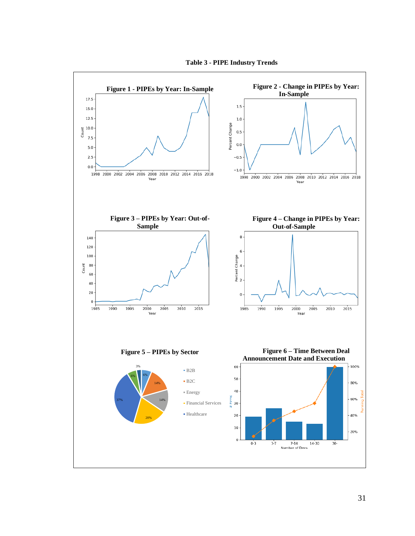<span id="page-36-7"></span><span id="page-36-5"></span><span id="page-36-2"></span><span id="page-36-1"></span><span id="page-36-0"></span>

<span id="page-36-6"></span><span id="page-36-4"></span><span id="page-36-3"></span>**Table 3 - PIPE Industry Trends**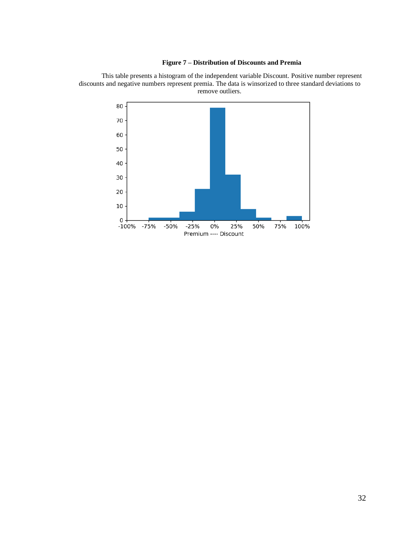#### **Figure 7 – Distribution of Discounts and Premia**

This table presents a histogram of the independent variable Discount. Positive number represent discounts and negative numbers represent premia. The data is winsorized to three standard deviations to remove outliers.

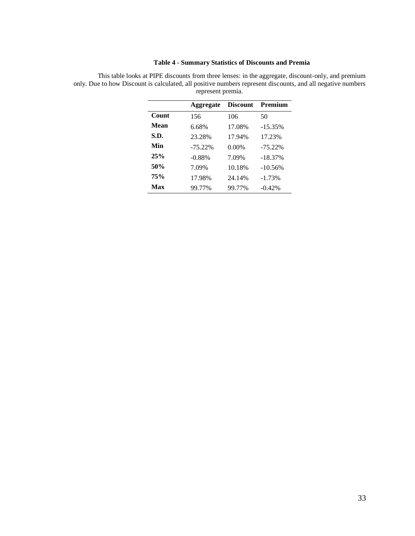# **Table 4 - Summary Statistics of Discounts and Premia**

|       | Aggregate  | <b>Discount</b> | Premium    |
|-------|------------|-----------------|------------|
| Count | 156        | 106             | 50         |
| Mean  | 6.68%      | 17.08%          | $-15.35%$  |
| S.D.  | 23.28%     | 17.94%          | 17.23%     |
| Min   | $-75.22\%$ | $0.00\%$        | $-75.22\%$ |
| 25%   | $-0.88%$   | 7.09%           | $-18.37\%$ |
| 50%   | 7.09%      | 10.18%          | $-10.56%$  |
| 75%   | 17.98%     | 24.14%          | $-1.73%$   |
| Max   | 99.77%     | 99.77%          | $-0.42%$   |

<span id="page-38-0"></span>This table looks at PIPE discounts from three lenses: in the aggregate, discount-only, and premium only. Due to how Discount is calculated, all positive numbers represent discounts, and all negative numbers represent premia.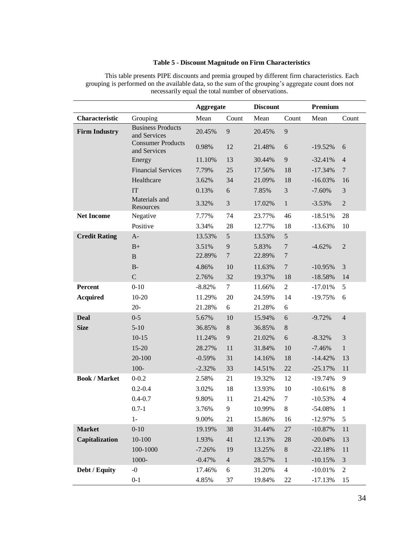#### **Table 5 - Discount Magnitude on Firm Characteristics**

|                      |                                          | <b>Aggregate</b> |                | <b>Discount</b> |                         | Premium   |                |
|----------------------|------------------------------------------|------------------|----------------|-----------------|-------------------------|-----------|----------------|
| Characteristic       | Grouping                                 | Mean             | Count          | Mean            | Count                   | Mean      | Count          |
| <b>Firm Industry</b> | <b>Business Products</b><br>and Services | 20.45%           | 9              | 20.45%          | 9                       |           |                |
|                      | <b>Consumer Products</b><br>and Services | 0.98%            | 12             | 21.48%          | 6                       | $-19.52%$ | 6              |
|                      | Energy                                   | 11.10%           | 13             | 30.44%          | 9                       | $-32.41%$ | $\overline{4}$ |
|                      | <b>Financial Services</b>                | 7.79%            | 25             | 17.56%          | 18                      | $-17.34%$ | $\overline{7}$ |
|                      | Healthcare                               | 3.62%            | 34             | 21.09%          | 18                      | $-16.03%$ | 16             |
|                      | IT                                       | 0.13%            | 6              | 7.85%           | $\mathfrak{Z}$          | $-7.60%$  | 3              |
|                      | Materials and<br>Resources               | 3.32%            | $\mathfrak{Z}$ | 17.02%          | $\mathbf{1}$            | $-3.53%$  | $\overline{c}$ |
| <b>Net Income</b>    | Negative                                 | 7.77%            | 74             | 23.77%          | 46                      | $-18.51%$ | 28             |
|                      | Positive                                 | 3.34%            | 28             | 12.77%          | 18                      | $-13.63%$ | 10             |
| <b>Credit Rating</b> | $A-$                                     | 13.53%           | 5              | 13.53%          | 5                       |           |                |
|                      | $B+$                                     | 3.51%            | 9              | 5.83%           | $\boldsymbol{7}$        | $-4.62%$  | $\mathbf{2}$   |
|                      | $\bf{B}$                                 | 22.89%           | $\overline{7}$ | 22.89%          | $\boldsymbol{7}$        |           |                |
|                      | $B-$                                     | 4.86%            | 10             | 11.63%          | $\overline{7}$          | $-10.95%$ | 3              |
|                      | $\mathbf C$                              | 2.76%            | 32             | 19.37%          | 18                      | $-18.58%$ | 14             |
| Percent              | $0 - 10$                                 | $-8.82%$         | $\tau$         | 11.66%          | $\overline{2}$          | $-17.01%$ | 5              |
| <b>Acquired</b>      | $10-20$                                  | 11.29%           | 20             | 24.59%          | 14                      | $-19.75%$ | 6              |
|                      | $20 -$                                   | 21.28%           | 6              | 21.28%          | 6                       |           |                |
| <b>Deal</b>          | $0 - 5$                                  | 5.67%            | 10             | 15.94%          | 6                       | $-9.72%$  | $\overline{4}$ |
| <b>Size</b>          | $5 - 10$                                 | 36.85%           | $\,8\,$        | 36.85%          | $8\,$                   |           |                |
|                      | $10-15$                                  | 11.24%           | 9              | 21.02%          | 6                       | $-8.32%$  | 3              |
|                      | $15 - 20$                                | 28.27%           | 11             | 31.84%          | 10                      | $-7.46%$  | $\mathbf{1}$   |
|                      | 20-100                                   | $-0.59%$         | 31             | 14.16%          | 18                      | $-14.42%$ | 13             |
|                      | $100 -$                                  | $-2.32%$         | 33             | 14.51%          | 22                      | $-25.17%$ | 11             |
| <b>Book / Market</b> | $0 - 0.2$                                | 2.58%            | 21             | 19.32%          | 12                      | $-19.74%$ | 9              |
|                      | $0.2 - 0.4$                              | 3.02%            | 18             | 13.93%          | 10                      | $-10.61%$ | $8\,$          |
|                      | $0.4 - 0.7$                              | 9.80%            | 11             | 21.42%          | 7                       | $-10.53%$ | $\overline{4}$ |
|                      | $0.7 - 1$                                | 3.76%            | 9              | 10.99%          | $8\,$                   | $-54.08%$ | $\mathbf{1}$   |
|                      | $1-$                                     | 9.00%            | 21             | 15.86%          | 16                      | $-12.97%$ | $\mathfrak s$  |
| <b>Market</b>        | $0 - 10$                                 | 19.19%           | 38             | 31.44%          | $27\,$                  | $-10.87%$ | 11             |
| Capitalization       | $10 - 100$                               | 1.93%            | 41             | 12.13%          | 28                      | $-20.04%$ | 13             |
|                      | 100-1000                                 | $-7.26%$         | 19             | 13.25%          | $8\,$                   | $-22.18%$ | 11             |
|                      | $1000 -$                                 | $-0.47%$         | $\overline{4}$ | 28.57%          | $\mathbf{1}$            | $-10.15%$ | 3              |
| Debt / Equity        | $-0$                                     | 17.46%           | 6              | 31.20%          | $\overline{\mathbf{4}}$ | $-10.01%$ | $\overline{2}$ |
|                      | $0 - 1$                                  | 4.85%            | 37             | 19.84%          | 22                      | $-17.13%$ | 15             |

<span id="page-39-0"></span>This table presents PIPE discounts and premia grouped by different firm characteristics. Each grouping is performed on the available data, so the sum of the grouping's aggregate count does not necessarily equal the total number of observations.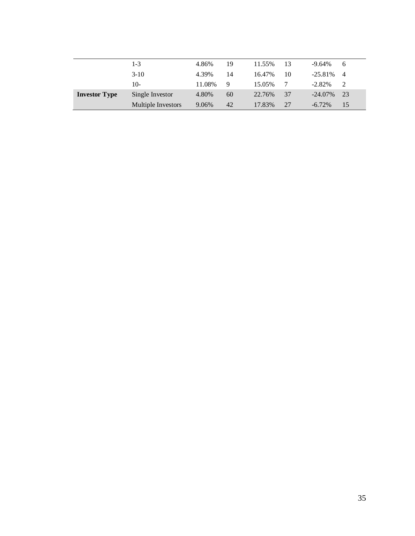|                      | 1-3                | 4.86%  | 19 | 11.55% | 13 | $-9.64\%$  | 6  |
|----------------------|--------------------|--------|----|--------|----|------------|----|
|                      | $3-10$             | 4.39%  | 14 | 16.47% | 10 | $-25.81\%$ | -4 |
|                      | $10-$              | 11.08% | Q  | 15.05% |    | $-2.82\%$  | 2  |
| <b>Investor Type</b> | Single Investor    | 4.80%  | 60 | 22.76% | 37 | $-24.07\%$ | 23 |
|                      | Multiple Investors | 9.06%  | 42 | 17.83% | 27 | $-6.72\%$  | 15 |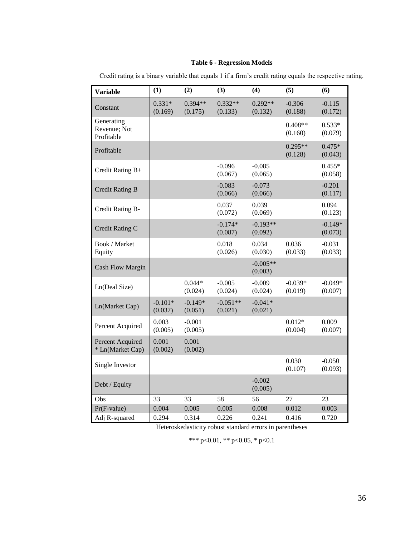# **Table 6 - Regression Models**

| <b>Variable</b>                          | (1)                  | (2)                  | (3)                   | (4)                   | (5)                  | (6)                  |
|------------------------------------------|----------------------|----------------------|-----------------------|-----------------------|----------------------|----------------------|
| Constant                                 | $0.331*$<br>(0.169)  | $0.394**$<br>(0.175) | $0.332**$<br>(0.133)  | $0.292**$<br>(0.132)  | $-0.306$<br>(0.188)  | $-0.115$<br>(0.172)  |
| Generating<br>Revenue; Not<br>Profitable |                      |                      |                       |                       | $0.408**$<br>(0.160) | $0.533*$<br>(0.079)  |
| Profitable                               |                      |                      |                       |                       | $0.295**$<br>(0.128) | $0.475*$<br>(0.043)  |
| Credit Rating B+                         |                      |                      | $-0.096$<br>(0.067)   | $-0.085$<br>(0.065)   |                      | $0.455*$<br>(0.058)  |
| <b>Credit Rating B</b>                   |                      |                      | $-0.083$<br>(0.066)   | $-0.073$<br>(0.066)   |                      | $-0.201$<br>(0.117)  |
| Credit Rating B-                         |                      |                      | 0.037<br>(0.072)      | 0.039<br>(0.069)      |                      | 0.094<br>(0.123)     |
| Credit Rating C                          |                      |                      | $-0.174*$<br>(0.087)  | $-0.193**$<br>(0.092) |                      | $-0.149*$<br>(0.073) |
| Book / Market<br>Equity                  |                      |                      | 0.018<br>(0.026)      | 0.034<br>(0.030)      | 0.036<br>(0.033)     | $-0.031$<br>(0.033)  |
| <b>Cash Flow Margin</b>                  |                      |                      |                       | $-0.005**$<br>(0.003) |                      |                      |
| Ln(Deal Size)                            |                      | $0.044*$<br>(0.024)  | $-0.005$<br>(0.024)   | $-0.009$<br>(0.024)   | $-0.039*$<br>(0.019) | $-0.049*$<br>(0.007) |
| Ln(Market Cap)                           | $-0.101*$<br>(0.037) | $-0.149*$<br>(0.051) | $-0.051**$<br>(0.021) | $-0.041*$<br>(0.021)  |                      |                      |
| Percent Acquired                         | 0.003<br>(0.005)     | $-0.001$<br>(0.005)  |                       |                       | $0.012*$<br>(0.004)  | 0.009<br>(0.007)     |
| Percent Acquired<br>* Ln(Market Cap)     | 0.001<br>(0.002)     | 0.001<br>(0.002)     |                       |                       |                      |                      |
| Single Investor                          |                      |                      |                       |                       | 0.030<br>(0.107)     | $-0.050$<br>(0.093)  |
| Debt / Equity                            |                      |                      |                       | $-0.002$<br>(0.005)   |                      |                      |
| Obs                                      | 33                   | 33                   | 58                    | 56                    | 27                   | 23                   |
| Pr(F-value)                              | 0.004                | 0.005                | 0.005                 | 0.008                 | 0.012                | 0.003                |
| Adj R-squared                            | 0.294                | 0.314                | 0.226                 | 0.241                 | 0.416                | 0.720                |

<span id="page-41-0"></span>Credit rating is a binary variable that equals 1 if a firm's credit rating equals the respective rating.

Heteroskedasticity robust standard errors in parentheses

\*\*\* p<0.01, \*\* p<0.05, \* p<0.1